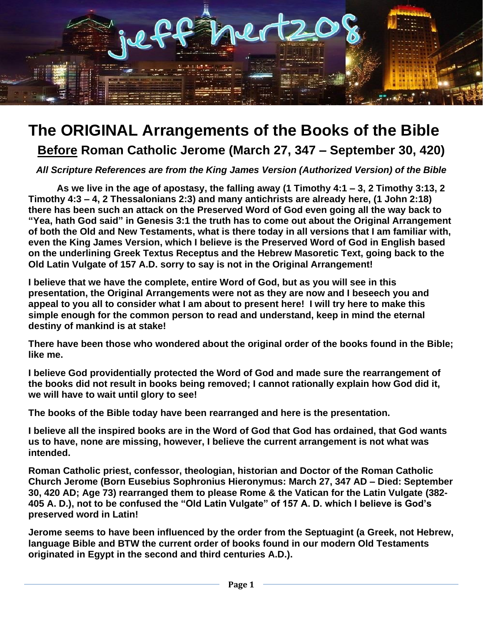

**Before Roman Catholic Jerome (March 27, 347 – September 30, 420)**

*All Scripture References are from the King James Version (Authorized Version) of the Bible*

**As we live in the age of apostasy, the falling away (1 Timothy 4:1 – 3, 2 Timothy 3:13, 2 Timothy 4:3 – 4, 2 Thessalonians 2:3) and many antichrists are already here, (1 John 2:18) there has been such an attack on the Preserved Word of God even going all the way back to "Yea, hath God said" in Genesis 3:1 the truth has to come out about the Original Arrangement of both the Old and New Testaments, what is there today in all versions that I am familiar with, even the King James Version, which I believe is the Preserved Word of God in English based on the underlining Greek Textus Receptus and the Hebrew Masoretic Text, going back to the Old Latin Vulgate of 157 A.D. sorry to say is not in the Original Arrangement!**

**I believe that we have the complete, entire Word of God, but as you will see in this presentation, the Original Arrangements were not as they are now and I beseech you and appeal to you all to consider what I am about to present here! I will try here to make this simple enough for the common person to read and understand, keep in mind the eternal destiny of mankind is at stake!**

**There have been those who wondered about the original order of the books found in the Bible; like me.**

**I believe God providentially protected the Word of God and made sure the rearrangement of the books did not result in books being removed; I cannot rationally explain how God did it, we will have to wait until glory to see!**

**The books of the Bible today have been rearranged and here is the presentation.**

**I believe all the inspired books are in the Word of God that God has ordained, that God wants us to have, none are missing, however, I believe the current arrangement is not what was intended.**

**Roman Catholic priest, confessor, theologian, historian and Doctor of the Roman Catholic Church Jerome (Born Eusebius Sophronius Hieronymus: March 27, 347 AD – Died: September 30, 420 AD; Age 73) rearranged them to please Rome & the Vatican for the Latin Vulgate (382- 405 A. D.), not to be confused the "Old Latin Vulgate" of 157 A. D. which I believe is God's preserved word in Latin!**

**Jerome seems to have been influenced by the order from the Septuagint (a Greek, not Hebrew, language Bible and BTW the current order of books found in our modern Old Testaments originated in Egypt in the second and third centuries A.D.).**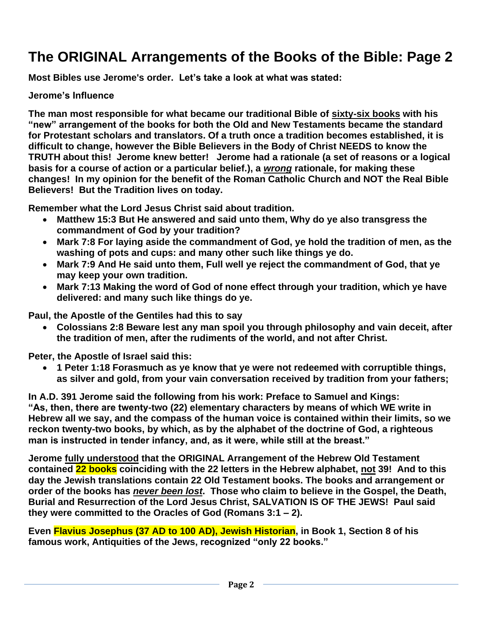**Most Bibles use Jerome's order. Let's take a look at what was stated:**

#### **Jerome's Influence**

**The man most responsible for what became our traditional Bible of sixty-six books with his "new" arrangement of the books for both the Old and New Testaments became the standard for Protestant scholars and translators. Of a truth once a tradition becomes established, it is difficult to change, however the Bible Believers in the Body of Christ NEEDS to know the TRUTH about this! Jerome knew better! Jerome had a rationale (a set of reasons or a logical basis for a course of action or a particular belief.), a** *wrong* **rationale, for making these changes! In my opinion for the benefit of the Roman Catholic Church and NOT the Real Bible Believers! But the Tradition lives on today.**

**Remember what the Lord Jesus Christ said about tradition.**

- **Matthew 15:3 But He answered and said unto them, Why do ye also transgress the commandment of God by your tradition?**
- **Mark 7:8 For laying aside the commandment of God, ye hold the tradition of men, as the washing of pots and cups: and many other such like things ye do.**
- **Mark 7:9 And He said unto them, Full well ye reject the commandment of God, that ye may keep your own tradition.**
- **Mark 7:13 Making the word of God of none effect through your tradition, which ye have delivered: and many such like things do ye.**

**Paul, the Apostle of the Gentiles had this to say** 

• **Colossians 2:8 Beware lest any man spoil you through philosophy and vain deceit, after the tradition of men, after the rudiments of the world, and not after Christ.**

**Peter, the Apostle of Israel said this:**

• **1 Peter 1:18 Forasmuch as ye know that ye were not redeemed with corruptible things, as silver and gold, from your vain conversation received by tradition from your fathers;**

**In A.D. 391 Jerome said the following from his work: Preface to Samuel and Kings: "As, then, there are twenty-two (22) elementary characters by means of which WE write in Hebrew all we say, and the compass of the human voice is contained within their limits, so we reckon twenty-two books, by which, as by the alphabet of the doctrine of God, a righteous man is instructed in tender infancy, and, as it were, while still at the breast."** 

**Jerome fully understood that the ORIGINAL Arrangement of the Hebrew Old Testament contained 22 books coinciding with the 22 letters in the Hebrew alphabet, not 39! And to this day the Jewish translations contain 22 Old Testament books. The books and arrangement or order of the books has** *never been lost***. Those who claim to believe in the Gospel, the Death, Burial and Resurrection of the Lord Jesus Christ, SALVATION IS OF THE JEWS! Paul said they were committed to the Oracles of God (Romans 3:1 – 2).**

**Even Flavius Josephus (37 AD to 100 AD), Jewish Historian, in Book 1, Section 8 of his famous work, Antiquities of the Jews, recognized "only 22 books."**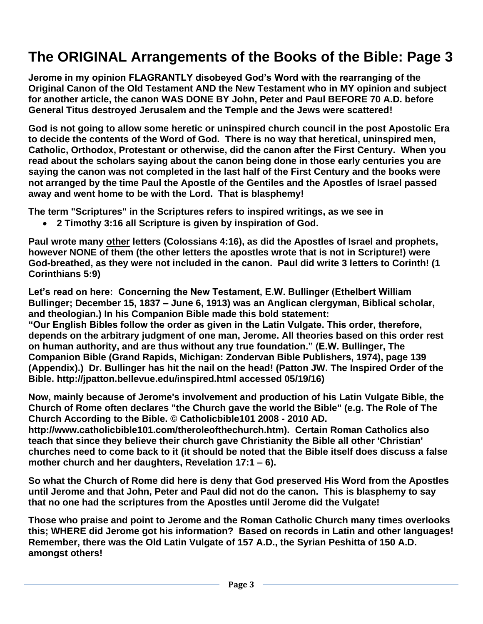**Jerome in my opinion FLAGRANTLY disobeyed God's Word with the rearranging of the Original Canon of the Old Testament AND the New Testament who in MY opinion and subject for another article, the canon WAS DONE BY John, Peter and Paul BEFORE 70 A.D. before General Titus destroyed Jerusalem and the Temple and the Jews were scattered!**

**God is not going to allow some heretic or uninspired church council in the post Apostolic Era to decide the contents of the Word of God. There is no way that heretical, uninspired men, Catholic, Orthodox, Protestant or otherwise, did the canon after the First Century. When you read about the scholars saying about the canon being done in those early centuries you are saying the canon was not completed in the last half of the First Century and the books were not arranged by the time Paul the Apostle of the Gentiles and the Apostles of Israel passed away and went home to be with the Lord. That is blasphemy!** 

**The term "Scriptures" in the Scriptures refers to inspired writings, as we see in**

• **2 Timothy 3:16 all Scripture is given by inspiration of God.**

**Paul wrote many other letters (Colossians 4:16), as did the Apostles of Israel and prophets, however NONE of them (the other letters the apostles wrote that is not in Scripture!) were God-breathed, as they were not included in the canon. Paul did write 3 letters to Corinth! (1 Corinthians 5:9)**

**Let's read on here: Concerning the New Testament, E.W. Bullinger (Ethelbert William Bullinger; December 15, 1837 – June 6, 1913) was an Anglican clergyman, Biblical scholar, and theologian.) In his Companion Bible made this bold statement:** 

**"Our English Bibles follow the order as given in the Latin Vulgate. This order, therefore, depends on the arbitrary judgment of one man, Jerome. All theories based on this order rest on human authority, and are thus without any true foundation." (E.W. Bullinger, The Companion Bible (Grand Rapids, Michigan: Zondervan Bible Publishers, 1974), page 139 (Appendix).) Dr. Bullinger has hit the nail on the head! (Patton JW. The Inspired Order of the Bible. http://jpatton.bellevue.edu/inspired.html accessed 05/19/16)**

**Now, mainly because of Jerome's involvement and production of his Latin Vulgate Bible, the Church of Rome often declares "the Church gave the world the Bible" (e.g. The Role of The Church According to the Bible. © Catholicbible101 2008 - 2010 AD.** 

**http://www.catholicbible101.com/theroleofthechurch.htm). Certain Roman Catholics also teach that since they believe their church gave Christianity the Bible all other 'Christian' churches need to come back to it (it should be noted that the Bible itself does discuss a false mother church and her daughters, Revelation 17:1 – 6).**

**So what the Church of Rome did here is deny that God preserved His Word from the Apostles until Jerome and that John, Peter and Paul did not do the canon. This is blasphemy to say that no one had the scriptures from the Apostles until Jerome did the Vulgate!**

**Those who praise and point to Jerome and the Roman Catholic Church many times overlooks this; WHERE did Jerome got his information? Based on records in Latin and other languages! Remember, there was the Old Latin Vulgate of 157 A.D., the Syrian Peshitta of 150 A.D. amongst others!**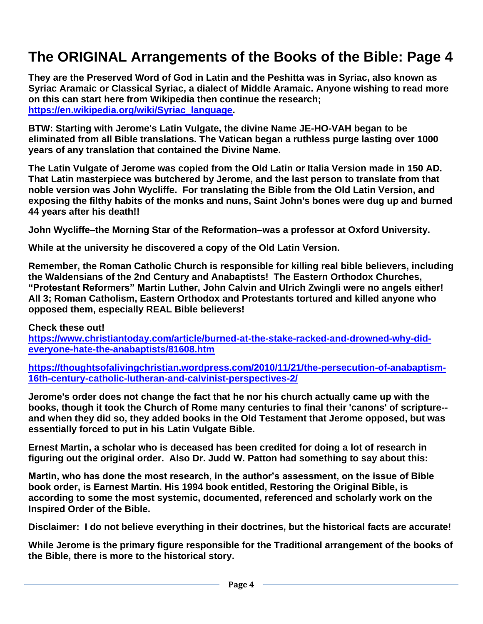**They are the Preserved Word of God in Latin and the Peshitta was in Syriac, also known as Syriac Aramaic or Classical Syriac, a dialect of Middle Aramaic. Anyone wishing to read more on this can start here from Wikipedia then continue the research; [https://en.wikipedia.org/wiki/Syriac\\_language.](https://en.wikipedia.org/wiki/Syriac_language)** 

**BTW: Starting with Jerome's Latin Vulgate, the divine Name JE-HO-VAH began to be eliminated from all Bible translations. The Vatican began a ruthless purge lasting over 1000 years of any translation that contained the Divine Name.**

**The Latin Vulgate of Jerome was copied from the Old Latin or Italia Version made in 150 AD. That Latin masterpiece was butchered by Jerome, and the last person to translate from that noble version was John Wycliffe. For translating the Bible from the Old Latin Version, and exposing the filthy habits of the monks and nuns, Saint John's bones were dug up and burned 44 years after his death!!**

**John Wycliffe–the Morning Star of the Reformation–was a professor at Oxford University.**

**While at the university he discovered a copy of the Old Latin Version.**

**Remember, the Roman Catholic Church is responsible for killing real bible believers, including the Waldensians of the 2nd Century and Anabaptists! The Eastern Orthodox Churches, "Protestant Reformers" Martin Luther, John Calvin and Ulrich Zwingli were no angels either! All 3; Roman Catholism, Eastern Orthodox and Protestants tortured and killed anyone who opposed them, especially REAL Bible believers!**

**Check these out! [https://www.christiantoday.com/article/burned-at-the-stake-racked-and-drowned-why-did](https://www.christiantoday.com/article/burned-at-the-stake-racked-and-drowned-why-did-everyone-hate-the-anabaptists/81608.htm)[everyone-hate-the-anabaptists/81608.htm](https://www.christiantoday.com/article/burned-at-the-stake-racked-and-drowned-why-did-everyone-hate-the-anabaptists/81608.htm)**

**[https://thoughtsofalivingchristian.wordpress.com/2010/11/21/the-persecution-of-anabaptism-](https://thoughtsofalivingchristian.wordpress.com/2010/11/21/the-persecution-of-anabaptism-16th-century-catholic-lutheran-and-calvinist-perspectives-2/)[16th-century-catholic-lutheran-and-calvinist-perspectives-2/](https://thoughtsofalivingchristian.wordpress.com/2010/11/21/the-persecution-of-anabaptism-16th-century-catholic-lutheran-and-calvinist-perspectives-2/)**

**Jerome's order does not change the fact that he nor his church actually came up with the books, though it took the Church of Rome many centuries to final their 'canons' of scripture- and when they did so, they added books in the Old Testament that Jerome opposed, but was essentially forced to put in his Latin Vulgate Bible.**

**Ernest Martin, a scholar who is deceased has been credited for doing a lot of research in figuring out the original order. Also Dr. Judd W. Patton had something to say about this:**

**Martin, who has done the most research, in the author's assessment, on the issue of Bible book order, is Earnest Martin. His 1994 book entitled, Restoring the Original Bible, is according to some the most systemic, documented, referenced and scholarly work on the Inspired Order of the Bible.**

**Disclaimer: I do not believe everything in their doctrines, but the historical facts are accurate!**

**While Jerome is the primary figure responsible for the Traditional arrangement of the books of the Bible, there is more to the historical story.**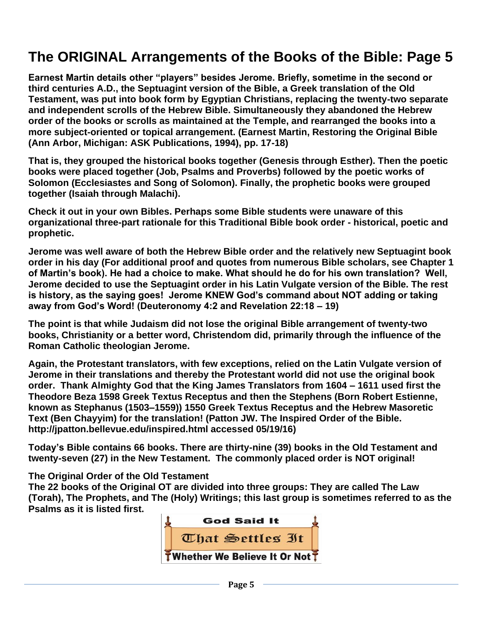**Earnest Martin details other "players" besides Jerome. Briefly, sometime in the second or third centuries A.D., the Septuagint version of the Bible, a Greek translation of the Old Testament, was put into book form by Egyptian Christians, replacing the twenty-two separate and independent scrolls of the Hebrew Bible. Simultaneously they abandoned the Hebrew order of the books or scrolls as maintained at the Temple, and rearranged the books into a more subject-oriented or topical arrangement. (Earnest Martin, Restoring the Original Bible (Ann Arbor, Michigan: ASK Publications, 1994), pp. 17-18)**

**That is, they grouped the historical books together (Genesis through Esther). Then the poetic books were placed together (Job, Psalms and Proverbs) followed by the poetic works of Solomon (Ecclesiastes and Song of Solomon). Finally, the prophetic books were grouped together (Isaiah through Malachi).**

**Check it out in your own Bibles. Perhaps some Bible students were unaware of this organizational three-part rationale for this Traditional Bible book order - historical, poetic and prophetic.** 

**Jerome was well aware of both the Hebrew Bible order and the relatively new Septuagint book order in his day (For additional proof and quotes from numerous Bible scholars, see Chapter 1 of Martin's book). He had a choice to make. What should he do for his own translation? Well, Jerome decided to use the Septuagint order in his Latin Vulgate version of the Bible. The rest is history, as the saying goes! Jerome KNEW God's command about NOT adding or taking away from God's Word! (Deuteronomy 4:2 and Revelation 22:18 – 19)**

**The point is that while Judaism did not lose the original Bible arrangement of twenty-two books, Christianity or a better word, Christendom did, primarily through the influence of the Roman Catholic theologian Jerome.** 

**Again, the Protestant translators, with few exceptions, relied on the Latin Vulgate version of Jerome in their translations and thereby the Protestant world did not use the original book order. Thank Almighty God that the King James Translators from 1604 – 1611 used first the Theodore Beza 1598 Greek Textus Receptus and then the Stephens (Born Robert Estienne, known as Stephanus (1503–1559)) 1550 Greek Textus Receptus and the Hebrew Masoretic Text (Ben Chayyim) for the translation! (Patton JW. The Inspired Order of the Bible. http://jpatton.bellevue.edu/inspired.html accessed 05/19/16)**

**Today's Bible contains 66 books. There are thirty-nine (39) books in the Old Testament and twenty-seven (27) in the New Testament. The commonly placed order is NOT original!**

**The Original Order of the Old Testament**

**The 22 books of the Original OT are divided into three groups: They are called The Law (Torah), The Prophets, and The (Holy) Writings; this last group is sometimes referred to as the Psalms as it is listed first.**

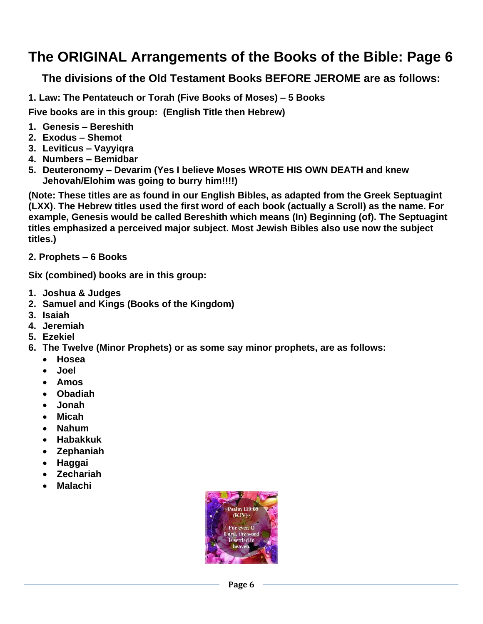**The divisions of the Old Testament Books BEFORE JEROME are as follows:**

**1. Law: The Pentateuch or Torah (Five Books of Moses) – 5 Books**

**Five books are in this group: (English Title then Hebrew)**

- **1. Genesis – Bereshith**
- **2. Exodus – Shemot**
- **3. Leviticus – Vayyiqra**
- **4. Numbers – Bemidbar**
- **5. Deuteronomy – Devarim (Yes I believe Moses WROTE HIS OWN DEATH and knew Jehovah/Elohim was going to burry him!!!!)**

**(Note: These titles are as found in our English Bibles, as adapted from the Greek Septuagint (LXX). The Hebrew titles used the first word of each book (actually a Scroll) as the name. For example, Genesis would be called Bereshith which means (In) Beginning (of). The Septuagint titles emphasized a perceived major subject. Most Jewish Bibles also use now the subject titles.)**

**2. Prophets – 6 Books**

**Six (combined) books are in this group:**

- **1. Joshua & Judges**
- **2. Samuel and Kings (Books of the Kingdom)**
- **3. Isaiah**
- **4. Jeremiah**
- **5. Ezekiel**
- **6. The Twelve (Minor Prophets) or as some say minor prophets, are as follows:**
	- **Hosea**
	- **Joel**
	- **Amos**
	- **Obadiah**
	- **Jonah**
	- **Micah**
	- **Nahum**
	- **Habakkuk**
	- **Zephaniah**
	- **Haggai**
	- **Zechariah**
	- **Malachi**

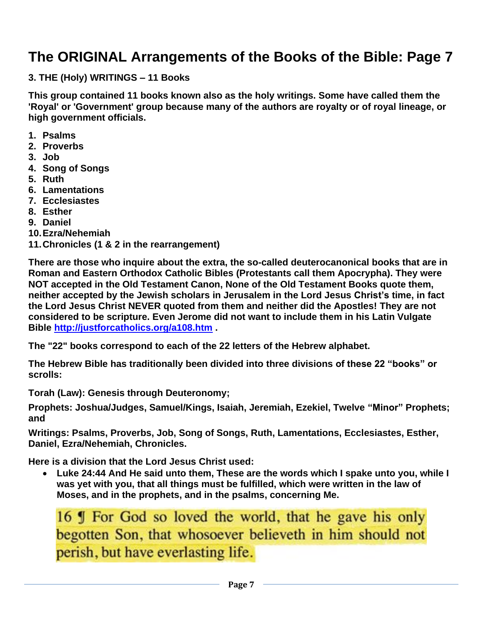**3. THE (Holy) WRITINGS – 11 Books**

**This group contained 11 books known also as the holy writings. Some have called them the 'Royal' or 'Government' group because many of the authors are royalty or of royal lineage, or high government officials.**

- **1. Psalms**
- **2. Proverbs**
- **3. Job**
- **4. Song of Songs**
- **5. Ruth**
- **6. Lamentations**
- **7. Ecclesiastes**
- **8. Esther**
- **9. Daniel**
- **10.Ezra/Nehemiah**
- **11.Chronicles (1 & 2 in the rearrangement)**

**There are those who inquire about the extra, the so-called deuterocanonical books that are in Roman and Eastern Orthodox Catholic Bibles (Protestants call them Apocrypha). They were NOT accepted in the Old Testament Canon, None of the Old Testament Books quote them, neither accepted by the Jewish scholars in Jerusalem in the Lord Jesus Christ's time, in fact the Lord Jesus Christ NEVER quoted from them and neither did the Apostles! They are not considered to be scripture. Even Jerome did not want to include them in his Latin Vulgate Bible<http://justforcatholics.org/a108.htm> .**

**The "22" books correspond to each of the 22 letters of the Hebrew alphabet.**

**The Hebrew Bible has traditionally been divided into three divisions of these 22 "books" or scrolls:**

**Torah (Law): Genesis through Deuteronomy;**

**Prophets: Joshua/Judges, Samuel/Kings, Isaiah, Jeremiah, Ezekiel, Twelve "Minor" Prophets; and**

**Writings: Psalms, Proverbs, Job, Song of Songs, Ruth, Lamentations, Ecclesiastes, Esther, Daniel, Ezra/Nehemiah, Chronicles.**

**Here is a division that the Lord Jesus Christ used:**

• **Luke 24:44 And He said unto them, These are the words which I spake unto you, while I was yet with you, that all things must be fulfilled, which were written in the law of Moses, and in the prophets, and in the psalms, concerning Me.**

16 If For God so loved the world, that he gave his only begotten Son, that whosoever believeth in him should not perish, but have everlasting life.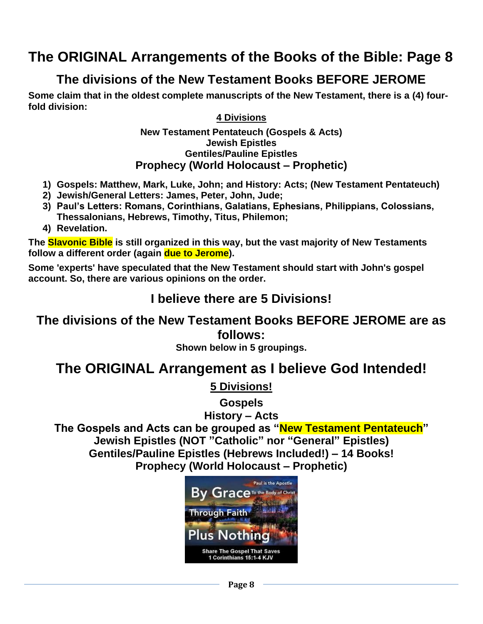### **The divisions of the New Testament Books BEFORE JEROME**

**Some claim that in the oldest complete manuscripts of the New Testament, there is a (4) fourfold division:**

#### **4 Divisions**

#### **New Testament Pentateuch (Gospels & Acts) Jewish Epistles Gentiles/Pauline Epistles Prophecy (World Holocaust – Prophetic)**

- **1) Gospels: Matthew, Mark, Luke, John; and History: Acts; (New Testament Pentateuch)**
- **2) Jewish/General Letters: James, Peter, John, Jude;**
- **3) Paul's Letters: Romans, Corinthians, Galatians, Ephesians, Philippians, Colossians, Thessalonians, Hebrews, Timothy, Titus, Philemon;**
- **4) Revelation.**

**The Slavonic Bible is still organized in this way, but the vast majority of New Testaments follow a different order (again due to Jerome).**

**Some 'experts' have speculated that the New Testament should start with John's gospel account. So, there are various opinions on the order.**

### **I believe there are 5 Divisions!**

### **The divisions of the New Testament Books BEFORE JEROME are as follows:**

#### **Shown below in 5 groupings.**

### **The ORIGINAL Arrangement as I believe God Intended!**

**5 Divisions!**

**Gospels**

**History – Acts**

**The Gospels and Acts can be grouped as "New Testament Pentateuch" Jewish Epistles (NOT "Catholic" nor "General" Epistles) Gentiles/Pauline Epistles (Hebrews Included!) – 14 Books! Prophecy (World Holocaust – Prophetic)**

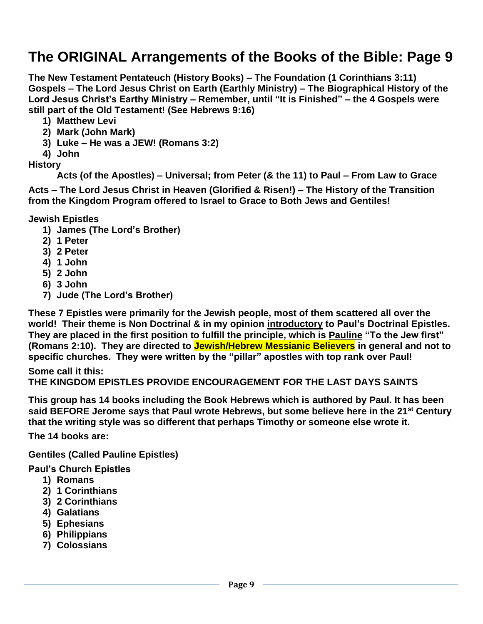**The New Testament Pentateuch (History Books) – The Foundation (1 Corinthians 3:11) Gospels – The Lord Jesus Christ on Earth (Earthly Ministry) – The Biographical History of the Lord Jesus Christ's Earthy Ministry – Remember, until "It is Finished" – the 4 Gospels were still part of the Old Testament! (See Hebrews 9:16)**

- **1) Matthew Levi**
- **2) Mark (John Mark)**
- **3) Luke – He was a JEW! (Romans 3:2)**
- **4) John**

**History** 

**Acts (of the Apostles) – Universal; from Peter (& the 11) to Paul – From Law to Grace**

**Acts – The Lord Jesus Christ in Heaven (Glorified & Risen!) – The History of the Transition from the Kingdom Program offered to Israel to Grace to Both Jews and Gentiles!**

**Jewish Epistles**

- **1) James (The Lord's Brother)**
- **2) 1 Peter**
- **3) 2 Peter**
- **4) 1 John**
- **5) 2 John**
- **6) 3 John**
- **7) Jude (The Lord's Brother)**

**These 7 Epistles were primarily for the Jewish people, most of them scattered all over the world! Their theme is Non Doctrinal & in my opinion introductory to Paul's Doctrinal Epistles. They are placed in the first position to fulfill the principle, which is Pauline "To the Jew first" (Romans 2:10). They are directed to Jewish/Hebrew Messianic Believers in general and not to specific churches. They were written by the "pillar" apostles with top rank over Paul!**

**Some call it this: THE KINGDOM EPISTLES PROVIDE ENCOURAGEMENT FOR THE LAST DAYS SAINTS**

**This group has 14 books including the Book Hebrews which is authored by Paul. It has been said BEFORE Jerome says that Paul wrote Hebrews, but some believe here in the 21st Century that the writing style was so different that perhaps Timothy or someone else wrote it.**

**The 14 books are:**

**Gentiles (Called Pauline Epistles)**

#### **Paul's Church Epistles**

- **1) Romans**
- **2) 1 Corinthians**
- **3) 2 Corinthians**
- **4) Galatians**
- **5) Ephesians**
- **6) Philippians**
- **7) Colossians**